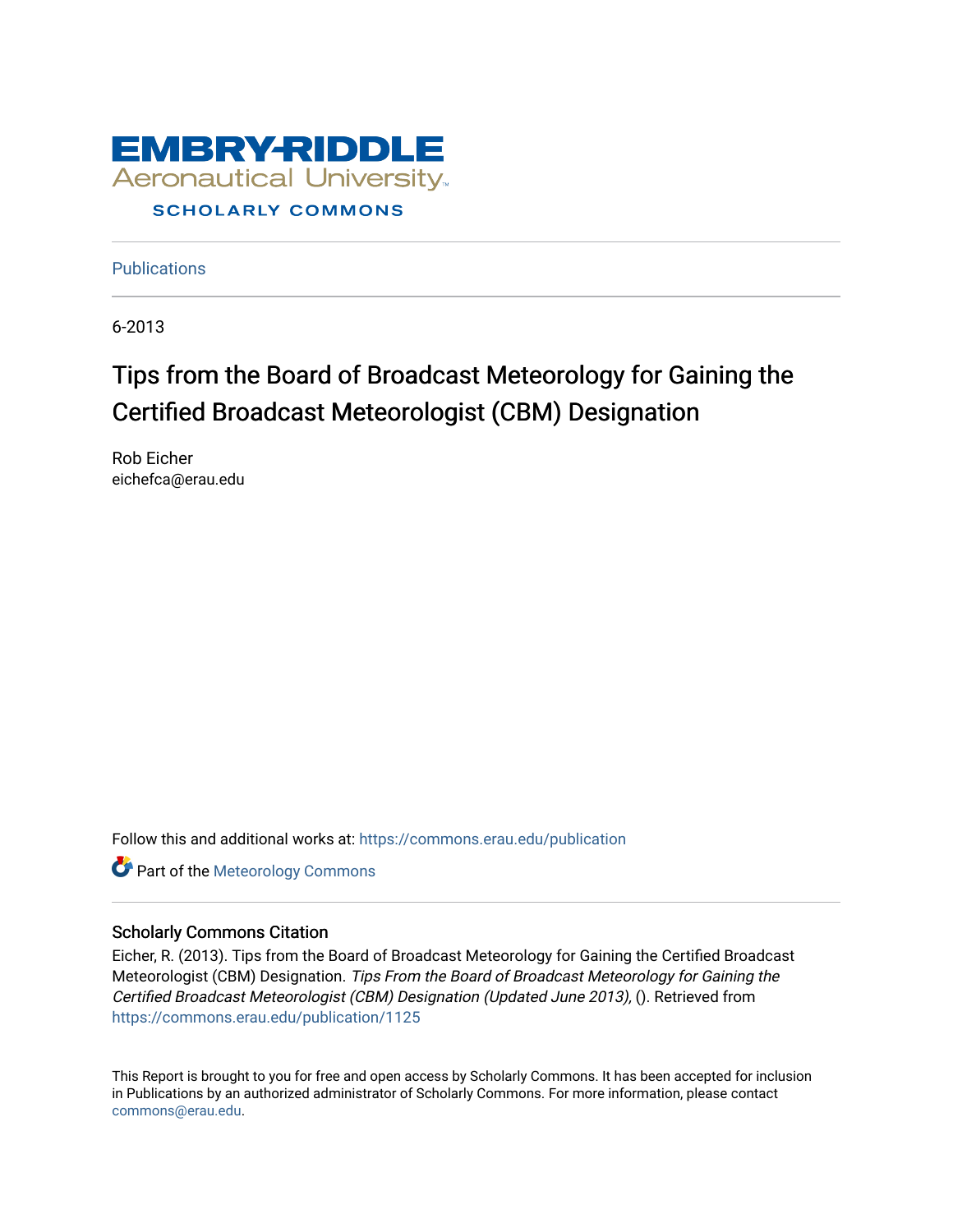

**Publications** 

6-2013

# Tips from the Board of Broadcast Meteorology for Gaining the Certified Broadcast Meteorologist (CBM) Designation

Rob Eicher eichefca@erau.edu

Follow this and additional works at: [https://commons.erau.edu/publication](https://commons.erau.edu/publication?utm_source=commons.erau.edu%2Fpublication%2F1125&utm_medium=PDF&utm_campaign=PDFCoverPages) 

**Part of the Meteorology Commons** 

### Scholarly Commons Citation

Eicher, R. (2013). Tips from the Board of Broadcast Meteorology for Gaining the Certified Broadcast Meteorologist (CBM) Designation. Tips From the Board of Broadcast Meteorology for Gaining the Certified Broadcast Meteorologist (CBM) Designation (Updated June 2013), (). Retrieved from [https://commons.erau.edu/publication/1125](https://commons.erau.edu/publication/1125?utm_source=commons.erau.edu%2Fpublication%2F1125&utm_medium=PDF&utm_campaign=PDFCoverPages)

This Report is brought to you for free and open access by Scholarly Commons. It has been accepted for inclusion in Publications by an authorized administrator of Scholarly Commons. For more information, please contact [commons@erau.edu](mailto:commons@erau.edu).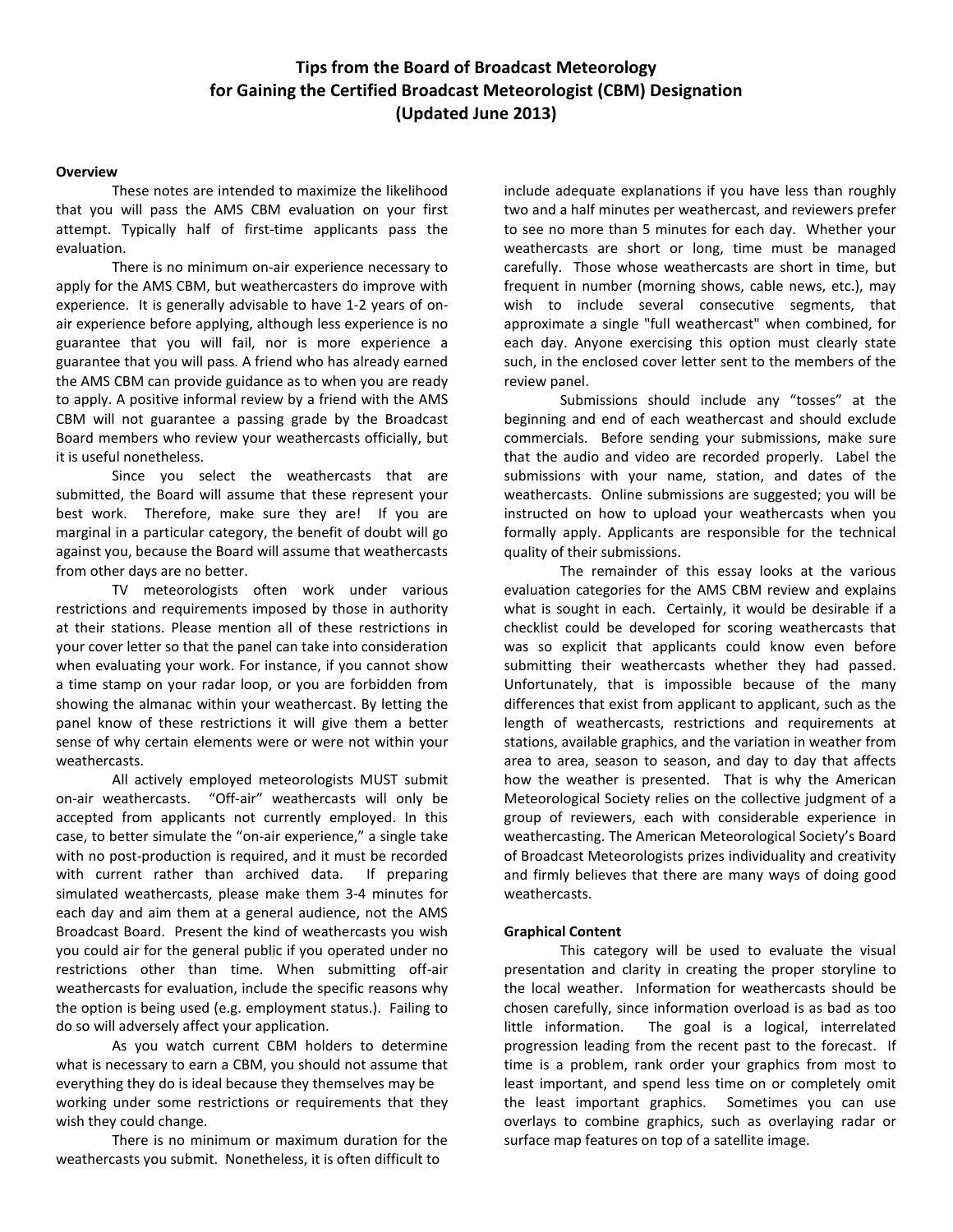## **Tips from the Board of Broadcast Meteorology for Gaining the Certified Broadcast Meteorologist (CBM) Designation (Updated June 2013)**

#### **Overview**

These notes are intended to maximize the likelihood that you will pass the AMS CBM evaluation on your first attempt. Typically half of first-time applicants pass the evaluation.

There is no minimum on-air experience necessary to apply for the AMS CBM, but weathercasters do improve with experience. It is generally advisable to have 1-2 years of onair experience before applying, although less experience is no guarantee that you will fail, nor is more experience a guarantee that you will pass. A friend who has already earned the AMS CBM can provide guidance as to when you are ready to apply. A positive informal review by a friend with the AMS CBM will not guarantee a passing grade by the Broadcast Board members who review your weathercasts officially, but it is useful nonetheless.

Since you select the weathercasts that are submitted, the Board will assume that these represent your best work. Therefore, make sure they are! If you are marginal in a particular category, the benefit of doubt will go against you, because the Board will assume that weathercasts from other days are no better.

TV meteorologists often work under various restrictions and requirements imposed by those in authority at their stations. Please mention all of these restrictions in your cover letter so that the panel can take into consideration when evaluating your work. For instance, if you cannot show a time stamp on your radar loop, or you are forbidden from showing the almanac within your weathercast. By letting the panel know of these restrictions it will give them a better sense of why certain elements were or were not within your weathercasts.

All actively employed meteorologists MUST submit on-air weathercasts. "Off-air" weathercasts will only be accepted from applicants not currently employed. In this case, to better simulate the "on-air experience," a single take with no post-production is required, and it must be recorded with current rather than archived data. If preparing simulated weathercasts, please make them 3-4 minutes for each day and aim them at a general audience, not the AMS Broadcast Board. Present the kind of weathercasts you wish you could air for the general public if you operated under no restrictions other than time. When submitting off-air weathercasts for evaluation, include the specific reasons why the option is being used (e.g. employment status.). Failing to do so will adversely affect your application.

As you watch current CBM holders to determine what is necessary to earn a CBM, you should not assume that everything they do is ideal because they themselves may be working under some restrictions or requirements that they wish they could change.

There is no minimum or maximum duration for the weathercasts you submit. Nonetheless, it is often difficult to

include adequate explanations if you have less than roughly two and a half minutes per weathercast, and reviewers prefer to see no more than 5 minutes for each day. Whether your weathercasts are short or long, time must be managed carefully. Those whose weathercasts are short in time, but frequent in number (morning shows, cable news, etc.), may wish to include several consecutive segments, that approximate a single "full weathercast" when combined, for each day. Anyone exercising this option must clearly state such, in the enclosed cover letter sent to the members of the review panel.

Submissions should include any "tosses" at the beginning and end of each weathercast and should exclude commercials. Before sending your submissions, make sure that the audio and video are recorded properly. Label the submissions with your name, station, and dates of the weathercasts. Online submissions are suggested; you will be instructed on how to upload your weathercasts when you formally apply. Applicants are responsible for the technical quality of their submissions.

The remainder of this essay looks at the various evaluation categories for the AMS CBM review and explains what is sought in each. Certainly, it would be desirable if a checklist could be developed for scoring weathercasts that was so explicit that applicants could know even before submitting their weathercasts whether they had passed. Unfortunately, that is impossible because of the many differences that exist from applicant to applicant, such as the length of weathercasts, restrictions and requirements at stations, available graphics, and the variation in weather from area to area, season to season, and day to day that affects how the weather is presented. That is why the American Meteorological Society relies on the collective judgment of a group of reviewers, each with considerable experience in weathercasting. The American Meteorological Society's Board of Broadcast Meteorologists prizes individuality and creativity and firmly believes that there are many ways of doing good weathercasts.

#### **Graphical Content**

This category will be used to evaluate the visual presentation and clarity in creating the proper storyline to the local weather. Information for weathercasts should be chosen carefully, since information overload is as bad as too little information. The goal is a logical, interrelated progression leading from the recent past to the forecast. If time is a problem, rank order your graphics from most to least important, and spend less time on or completely omit the least important graphics. Sometimes you can use overlays to combine graphics, such as overlaying radar or surface map features on top of a satellite image.